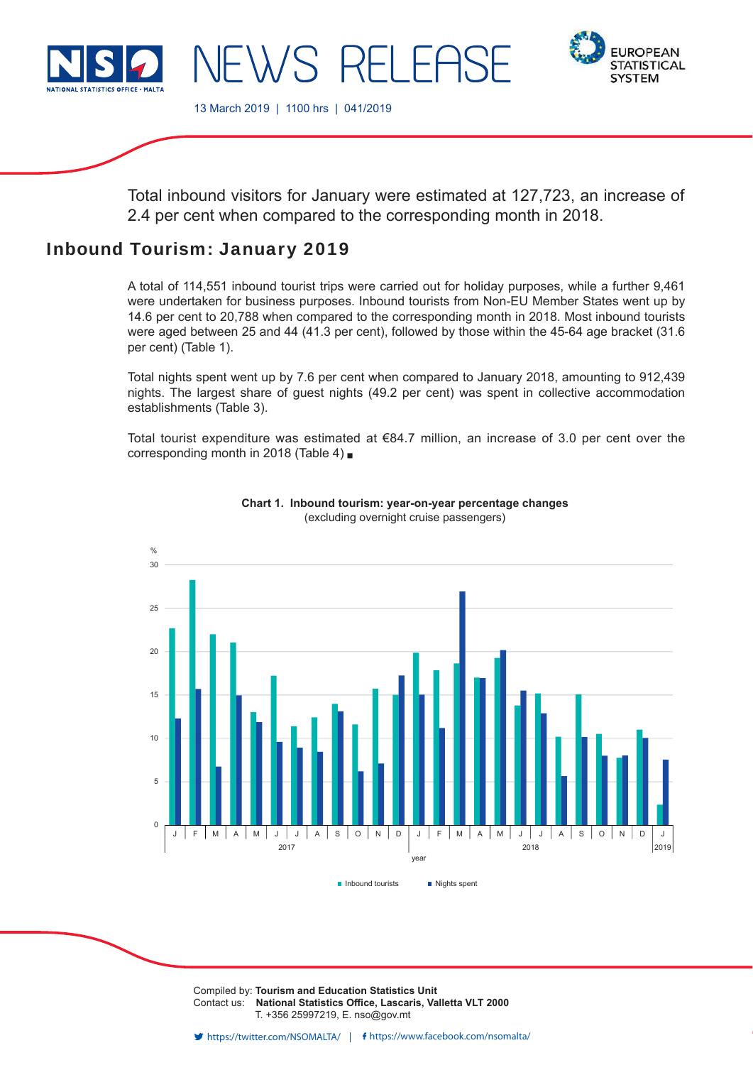



13 March 2019 | 1100 hrs | 041/2019

 $\lambda$ / $S$ 

Total inbound visitors for January were estimated at 127,723, an increase of 2.4 per cent when compared to the corresponding month in 2018.

# Inbound Tourism: January 2019

A total of 114,551 inbound tourist trips were carried out for holiday purposes, while a further 9,461 were undertaken for business purposes. Inbound tourists from Non-EU Member States went up by 14.6 per cent to 20,788 when compared to the corresponding month in 2018. Most inbound tourists were aged between 25 and 44 (41.3 per cent), followed by those within the 45-64 age bracket (31.6 per cent) (Table 1).

Total nights spent went up by 7.6 per cent when compared to January 2018, amounting to 912,439 nights. The largest share of guest nights (49.2 per cent) was spent in collective accommodation establishments (Table 3).

Total tourist expenditure was estimated at €84.7 million, an increase of 3.0 per cent over the corresponding month in 2018 (Table 4)



## **Chart 1. Inbound tourism: year-on-year percentage changes** (excluding overnight cruise passengers)

Compiled by: **Tourism and Education Statistics Unit** Contact us: National Statistics Office, Lascaris, Valletta VLT 2000 T. +356 25997219, E. nso@gov.mt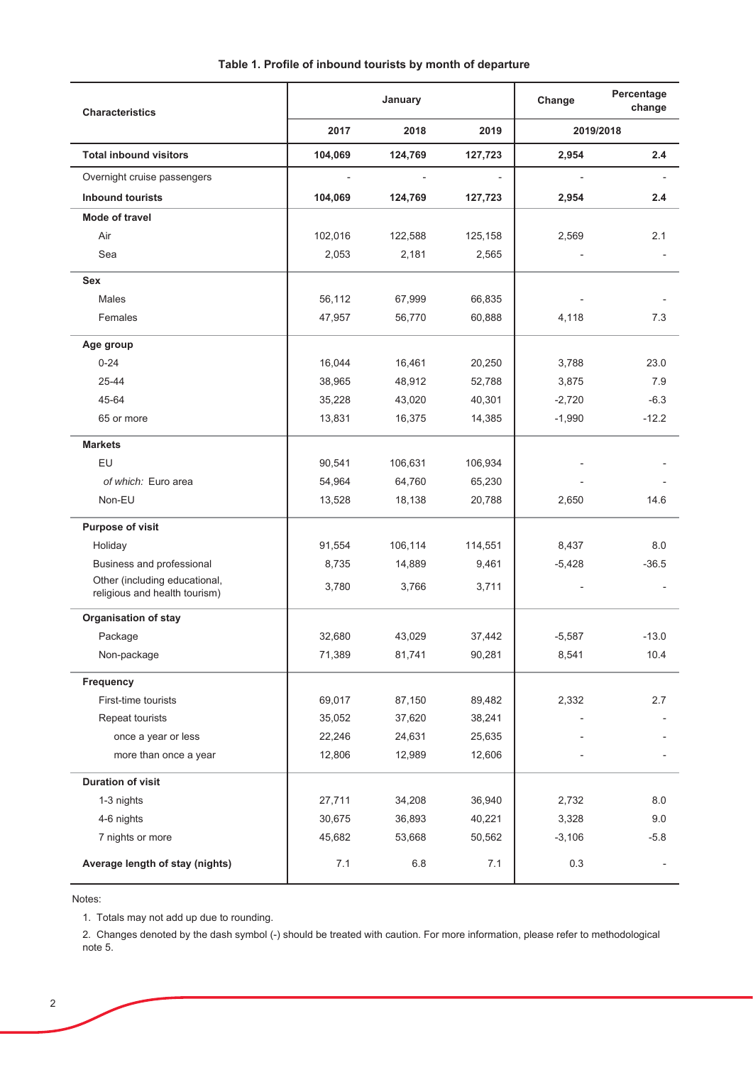| Table 1. Profile of inbound tourists by month of departure |  |  |  |
|------------------------------------------------------------|--|--|--|
|------------------------------------------------------------|--|--|--|

| <b>Characteristics</b>                                         |         | January |         | Change   | Percentage<br>change     |
|----------------------------------------------------------------|---------|---------|---------|----------|--------------------------|
|                                                                | 2017    | 2018    | 2019    |          | 2019/2018                |
| <b>Total inbound visitors</b>                                  | 104,069 | 124,769 | 127,723 | 2,954    | 2.4                      |
| Overnight cruise passengers                                    |         |         |         |          |                          |
| <b>Inbound tourists</b>                                        | 104,069 | 124,769 | 127,723 | 2,954    | 2.4                      |
| Mode of travel                                                 |         |         |         |          |                          |
| Air                                                            | 102,016 | 122,588 | 125,158 | 2,569    | 2.1                      |
| Sea                                                            | 2,053   | 2,181   | 2,565   |          |                          |
| <b>Sex</b>                                                     |         |         |         |          |                          |
| Males                                                          | 56,112  | 67,999  | 66,835  |          |                          |
| Females                                                        | 47,957  | 56,770  | 60,888  | 4,118    | 7.3                      |
| Age group                                                      |         |         |         |          |                          |
| $0 - 24$                                                       | 16,044  | 16,461  | 20,250  | 3,788    | 23.0                     |
| 25-44                                                          | 38,965  | 48,912  | 52,788  | 3,875    | 7.9                      |
| 45-64                                                          | 35,228  | 43,020  | 40,301  | $-2,720$ | $-6.3$                   |
| 65 or more                                                     | 13,831  | 16,375  | 14,385  | $-1,990$ | $-12.2$                  |
| <b>Markets</b>                                                 |         |         |         |          |                          |
| EU                                                             | 90,541  | 106,631 | 106,934 |          |                          |
| of which: Euro area                                            | 54,964  | 64,760  | 65,230  |          |                          |
| Non-EU                                                         | 13,528  | 18,138  | 20,788  | 2,650    | 14.6                     |
| Purpose of visit                                               |         |         |         |          |                          |
| Holiday                                                        | 91,554  | 106,114 | 114,551 | 8,437    | 8.0                      |
| Business and professional                                      | 8,735   | 14,889  | 9,461   | $-5,428$ | $-36.5$                  |
| Other (including educational,<br>religious and health tourism) | 3,780   | 3,766   | 3,711   |          |                          |
| <b>Organisation of stay</b>                                    |         |         |         |          |                          |
| Package                                                        | 32,680  | 43,029  | 37,442  | $-5,587$ | $-13.0$                  |
| Non-package                                                    | 71,389  | 81,741  | 90,281  | 8,541    | 10.4                     |
| Frequency                                                      |         |         |         |          |                          |
| First-time tourists                                            | 69,017  | 87,150  | 89,482  | 2,332    | 2.7                      |
| Repeat tourists                                                | 35,052  | 37,620  | 38,241  |          |                          |
| once a year or less                                            | 22,246  | 24,631  | 25,635  |          |                          |
| more than once a year                                          | 12,806  | 12,989  | 12,606  |          |                          |
| <b>Duration of visit</b>                                       |         |         |         |          |                          |
| 1-3 nights                                                     | 27,711  | 34,208  | 36,940  | 2,732    | 8.0                      |
| 4-6 nights                                                     | 30,675  | 36,893  | 40,221  | 3,328    | 9.0                      |
| 7 nights or more                                               | 45,682  | 53,668  | 50,562  | $-3,106$ | $-5.8$                   |
| Average length of stay (nights)                                | 7.1     | $6.8\,$ | 7.1     | 0.3      | $\overline{\phantom{a}}$ |

Notes:

1. Totals may not add up due to rounding.

2. Changes denoted by the dash symbol (-) should be treated with caution. For more information, please refer to methodological note 5.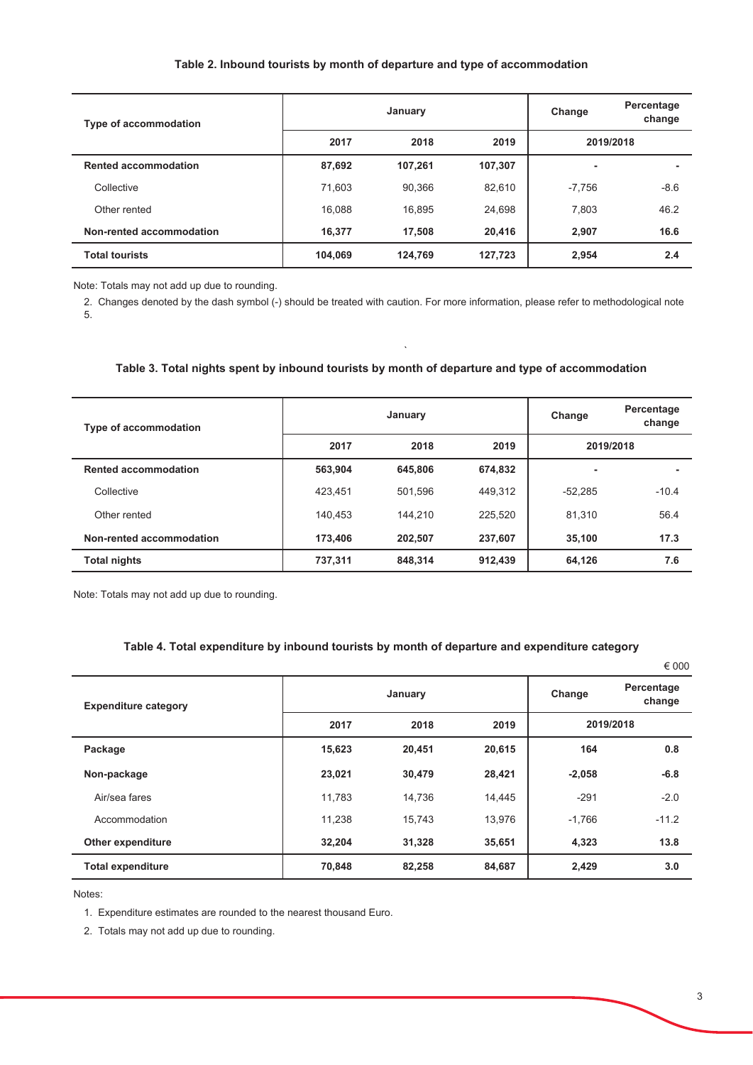## Table 2. Inbound tourists by month of departure and type of accommodation

| Type of accommodation       |         | January |         | Change   | Percentage<br>change |
|-----------------------------|---------|---------|---------|----------|----------------------|
|                             | 2017    | 2018    | 2019    |          | 2019/2018            |
| <b>Rented accommodation</b> | 87,692  | 107,261 | 107,307 | ۰        | ۰                    |
| Collective                  | 71,603  | 90,366  | 82,610  | $-7,756$ | $-8.6$               |
| Other rented                | 16,088  | 16.895  | 24,698  | 7,803    | 46.2                 |
| Non-rented accommodation    | 16,377  | 17,508  | 20,416  | 2,907    | 16.6                 |
| <b>Total tourists</b>       | 104,069 | 124,769 | 127,723 | 2,954    | 2.4                  |

Note: Totals may not add up due to rounding.

2. Changes denoted by the dash symbol (-) should be treated with caution. For more information, please refer to methodological note 5.

## Table 3. Total nights spent by inbound tourists by month of departure and type of accommodation

| <b>Type of accommodation</b> |         | January |         | Change    | Percentage<br>change |
|------------------------------|---------|---------|---------|-----------|----------------------|
|                              | 2017    | 2018    | 2019    | 2019/2018 |                      |
| <b>Rented accommodation</b>  | 563,904 | 645.806 | 674,832 | ٠         |                      |
| Collective                   | 423.451 | 501.596 | 449.312 | $-52.285$ | $-10.4$              |
| Other rented                 | 140.453 | 144.210 | 225,520 | 81,310    | 56.4                 |
| Non-rented accommodation     | 173,406 | 202.507 | 237,607 | 35,100    | 17.3                 |
| <b>Total nights</b>          | 737,311 | 848.314 | 912,439 | 64,126    | 7.6                  |

Note: Totals may not add up due to rounding.

## Table 4. Total expenditure by inbound tourists by month of departure and expenditure category

|                             |        |         |        |          | € UUU                |
|-----------------------------|--------|---------|--------|----------|----------------------|
| <b>Expenditure category</b> |        | January |        | Change   | Percentage<br>change |
|                             | 2017   | 2018    | 2019   |          | 2019/2018            |
| Package                     | 15,623 | 20,451  | 20,615 | 164      | 0.8                  |
| Non-package                 | 23,021 | 30,479  | 28,421 | $-2,058$ | $-6.8$               |
| Air/sea fares               | 11.783 | 14.736  | 14,445 | $-291$   | $-2.0$               |
| Accommodation               | 11,238 | 15,743  | 13,976 | $-1,766$ | $-11.2$              |
| <b>Other expenditure</b>    | 32,204 | 31,328  | 35,651 | 4,323    | 13.8                 |
| <b>Total expenditure</b>    | 70,848 | 82,258  | 84,687 | 2,429    | 3.0                  |

Notes:

1. Expenditure estimates are rounded to the nearest thousand Euro.

2. Totals may not add up due to rounding.

 $0.000$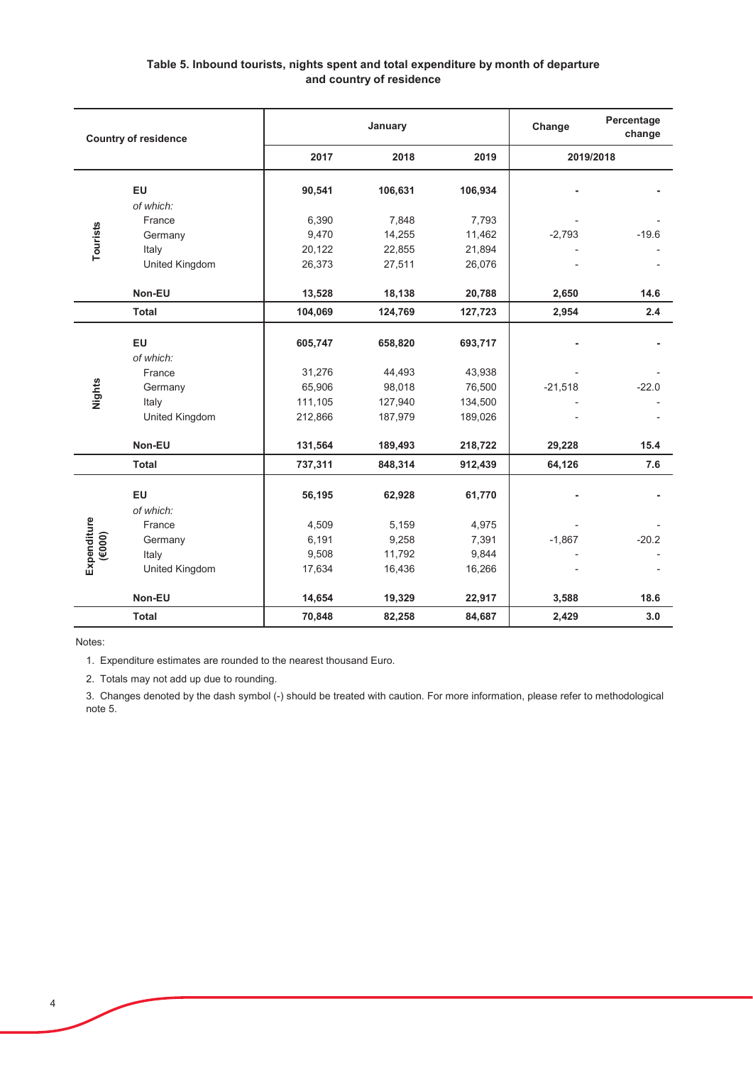# Table 5. Inbound tourists, nights spent and total expenditure by month of departure and country of residence

| <b>Country of residence</b> |                                                                                                                                |         | January      |         | Percentage<br>Change<br>change |         |
|-----------------------------|--------------------------------------------------------------------------------------------------------------------------------|---------|--------------|---------|--------------------------------|---------|
|                             |                                                                                                                                | 2017    | 2019<br>2018 |         | 2019/2018                      |         |
|                             | EU                                                                                                                             | 90,541  | 106,631      | 106,934 |                                |         |
|                             | of which:                                                                                                                      |         |              |         |                                |         |
|                             | France                                                                                                                         | 6,390   | 7,848        | 7,793   |                                |         |
| Tourists                    | Germany                                                                                                                        | 9,470   | 14,255       | 11,462  | $-2,793$                       | $-19.6$ |
|                             | Italy                                                                                                                          | 20,122  | 22,855       | 21,894  |                                |         |
|                             | United Kingdom                                                                                                                 | 26,373  | 27,511       | 26,076  |                                |         |
|                             | Non-EU                                                                                                                         | 13,528  | 18,138       | 20,788  | 2,650                          | 14.6    |
|                             | <b>Total</b>                                                                                                                   | 104,069 | 124,769      | 127,723 | 2,954                          | 2.4     |
|                             | EU                                                                                                                             | 605,747 | 658,820      | 693,717 |                                |         |
|                             | of which:                                                                                                                      |         |              |         |                                |         |
|                             | France                                                                                                                         | 31,276  | 44,493       | 43,938  |                                |         |
| Nights                      | Germany                                                                                                                        | 65,906  | 98,018       | 76,500  | $-21,518$                      | $-22.0$ |
|                             | Italy                                                                                                                          | 111,105 | 127,940      | 134,500 |                                |         |
|                             | United Kingdom                                                                                                                 | 212,866 | 187,979      | 189,026 |                                |         |
|                             | Non-EU                                                                                                                         | 131,564 | 189,493      | 218,722 | 29,228                         | 15.4    |
|                             | <b>Total</b>                                                                                                                   | 737,311 | 848,314      | 912,439 | 64,126                         | 7.6     |
|                             | EU                                                                                                                             | 56,195  | 62,928       | 61,770  |                                |         |
|                             | of which:                                                                                                                      |         |              |         |                                |         |
|                             | France                                                                                                                         | 4,509   | 5,159        | 4,975   |                                |         |
| Expenditure<br>(6000)       | Germany                                                                                                                        | 6,191   | 9,258        | 7,391   | $-1,867$                       | $-20.2$ |
|                             | Italy                                                                                                                          | 9,508   | 11,792       | 9,844   |                                |         |
|                             | United Kingdom                                                                                                                 | 17,634  | 16,436       | 16,266  |                                |         |
|                             | Non-EU                                                                                                                         | 14,654  | 19,329       | 22,917  | 3,588                          | 18.6    |
|                             | <b>Total</b>                                                                                                                   | 70,848  | 82,258       | 84,687  | 2,429                          | 3.0     |
| Notes:                      |                                                                                                                                |         |              |         |                                |         |
|                             | 1. Expenditure estimates are rounded to the nearest thousand Euro.                                                             |         |              |         |                                |         |
|                             | 2. Totals may not add up due to rounding.                                                                                      |         |              |         |                                |         |
|                             | 3. Changes denoted by the dash symbol (-) should be treated with caution. For more information, please refer to methodological |         |              |         |                                |         |
| note 5.                     |                                                                                                                                |         |              |         |                                |         |

3. Changes denoted by the dash symbol (-) should be treated with caution. For more information, please refer to methodological note 5.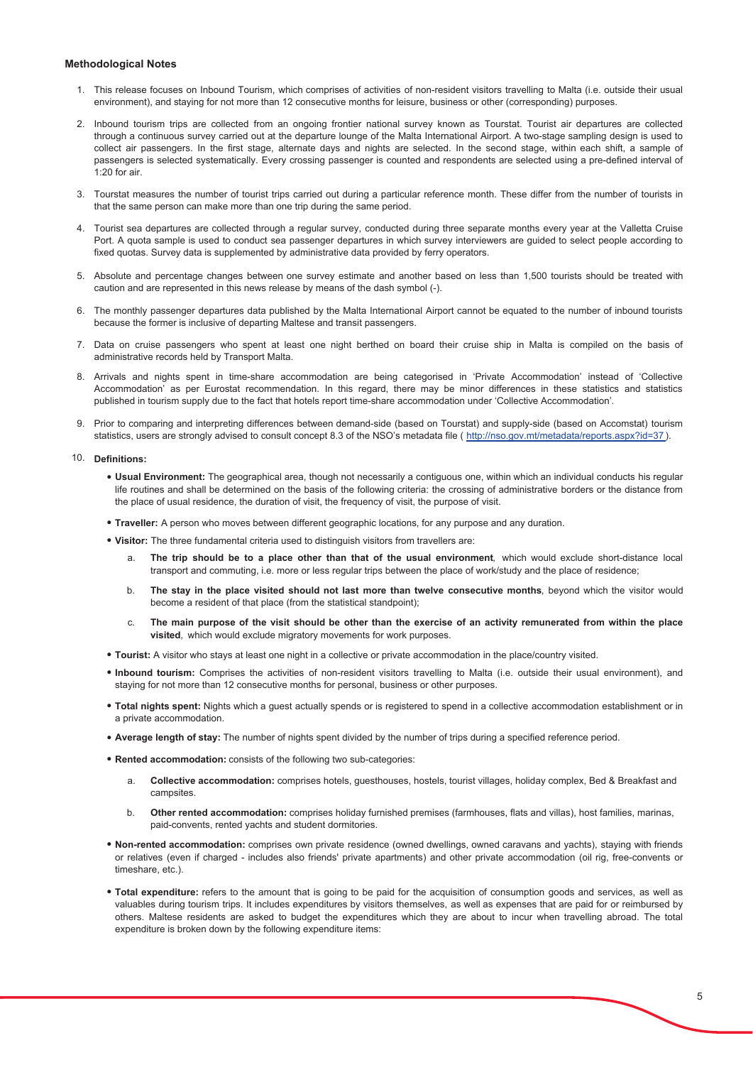#### **Methodological Notes**

- 1. This release focuses on Inbound Tourism, which comprises of activities of non-resident visitors travelling to Malta (i.e. outside their usual environment), and staying for not more than 12 consecutive months for leisure, business or other (corresponding) purposes.
- 2. Inbound tourism trips are collected from an ongoing frontier national survey known as Tourstat. Tourist air departures are collected through a continuous survey carried out at the departure lounge of the Malta International Airport. A two-stage sampling design is used to collect air passengers. In the first stage, alternate days and nights are selected. In the second stage, within each shift, a sample of passengers is selected systematically. Every crossing passenger is counted and respondents are selected using a pre-defined interval of  $1.20$  for air
- 3. Tourstat measures the number of tourist trips carried out during a particular reference month. These differ from the number of tourists in that the same person can make more than one trip during the same period.
- 4. Tourist sea departures are collected through a regular survey, conducted during three separate months every year at the Valletta Cruise Port. A quota sample is used to conduct sea passenger departures in which survey interviewers are guided to select people according to fixed quotas. Survey data is supplemented by administrative data provided by ferry operators.
- 5. Absolute and percentage changes between one survey estimate and another based on less than 1,500 tourists should be treated with caution and are represented in this news release by means of the dash symbol (-).
- 6. The monthly passenger departures data published by the Malta International Airport cannot be equated to the number of inbound tourists because the former is inclusive of departing Maltese and transit passengers.
- 7. Data on cruise passengers who spent at least one night berthed on board their cruise ship in Malta is compiled on the basis of administrative records held by Transport Malta.
- 8. Arrivals and nights spent in time-share accommodation are being categorised in 'Private Accommodation' instead of 'Collective Accommodation' as per Eurostat recommendation. In this regard, there may be minor differences in these statistics and statistics published in tourism supply due to the fact that hotels report time-share accommodation under 'Collective Accommodation'.
- 9. Prior to comparing and interpreting differences between demand-side (based on Tourstat) and supply-side (based on Accomstat) tourism statistics, users are strongly advised to consult concept 8.3 of the NSO's metadata file (http://nso.gov.mt/metadata/reports.aspx?id=37).

#### 10. Definitions:

- . Usual Environment: The geographical area, though not necessarily a contiguous one, within which an individual conducts his regular life routines and shall be determined on the basis of the following criteria: the crossing of administrative borders or the distance from the place of usual residence, the duration of visit, the frequency of visit, the purpose of visit.
- Traveller: A person who moves between different geographic locations, for any purpose and any duration.
- . Visitor: The three fundamental criteria used to distinguish visitors from travellers are:
	- $\mathsf{a}$ The trip should be to a place other than that of the usual environment, which would exclude short-distance local transport and commuting, i.e. more or less regular trips between the place of work/study and the place of residence;
	- The stay in the place visited should not last more than twelve consecutive months, beyond which the visitor would  $h$ become a resident of that place (from the statistical standpoint);
	- The main purpose of the visit should be other than the exercise of an activity remunerated from within the place  $\mathbf{c}$ visited, which would exclude migratory movements for work purposes.
- . Tourist: A visitor who stays at least one night in a collective or private accommodation in the place/country visited.
- . Inbound tourism: Comprises the activities of non-resident visitors travelling to Malta (i.e. outside their usual environment), and staying for not more than 12 consecutive months for personal, business or other purposes.
- . Total nights spent: Nights which a guest actually spends or is registered to spend in a collective accommodation establishment or in a private accommodation.
- . Average length of stay: The number of nights spent divided by the number of trips during a specified reference period.
- . Rented accommodation: consists of the following two sub-categories:
	- Collective accommodation: comprises hotels, guesthouses, hostels, tourist villages, holiday complex, Bed & Breakfast and a. campsites.
	- $\mathsf{h}$ Other rented accommodation: comprises holiday furnished premises (farmhouses, flats and villas), host families, marinas, paid-convents, rented yachts and student dormitories.
- . Non-rented accommodation: comprises own private residence (owned dwellings, owned caravans and yachts), staying with friends or relatives (even if charged - includes also friends' private apartments) and other private accommodation (oil rig. free-convents or timeshare, etc.).
- . Total expenditure: refers to the amount that is going to be paid for the acquisition of consumption goods and services, as well as valuables during tourism trips. It includes expenditures by visitors themselves, as well as expenses that are paid for or reimbursed by others. Maltese residents are asked to budget the expenditures which they are about to incur when travelling abroad. The total expenditure is broken down by the following expenditure items: